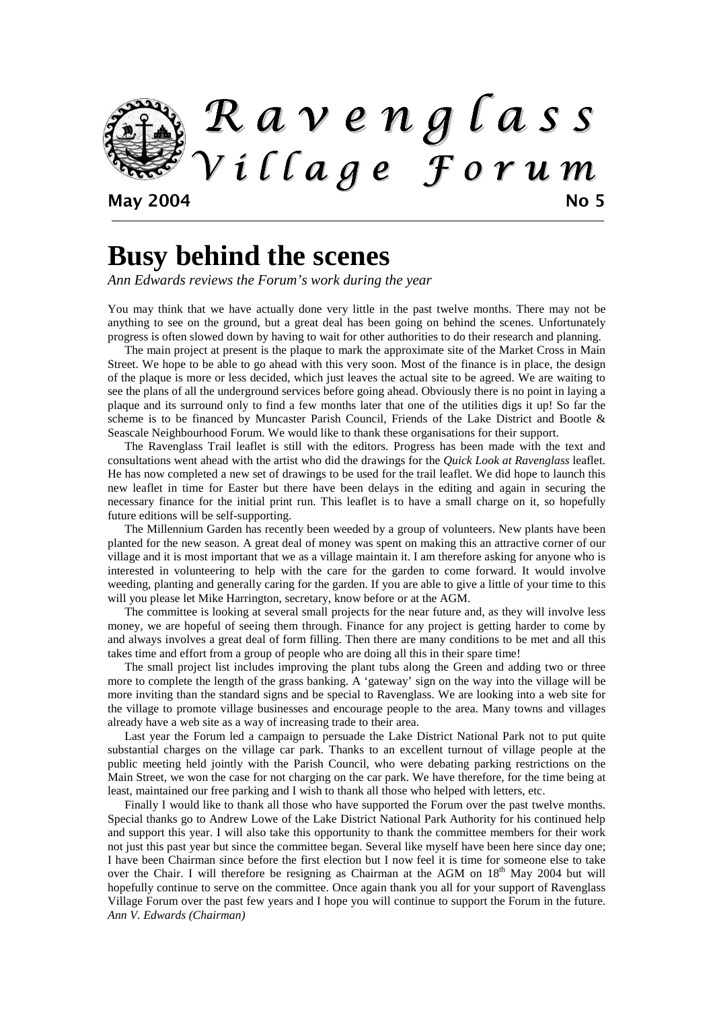

# **Busy behind the scenes**

*Ann Edwards reviews the Forum's work during the year* 

You may think that we have actually done very little in the past twelve months. There may not be anything to see on the ground, but a great deal has been going on behind the scenes. Unfortunately progress is often slowed down by having to wait for other authorities to do their research and planning.

 The main project at present is the plaque to mark the approximate site of the Market Cross in Main Street. We hope to be able to go ahead with this very soon. Most of the finance is in place, the design of the plaque is more or less decided, which just leaves the actual site to be agreed. We are waiting to see the plans of all the underground services before going ahead. Obviously there is no point in laying a plaque and its surround only to find a few months later that one of the utilities digs it up! So far the scheme is to be financed by Muncaster Parish Council, Friends of the Lake District and Bootle & Seascale Neighbourhood Forum. We would like to thank these organisations for their support.

 The Ravenglass Trail leaflet is still with the editors. Progress has been made with the text and consultations went ahead with the artist who did the drawings for the *Quick Look at Ravenglass* leaflet. He has now completed a new set of drawings to be used for the trail leaflet. We did hope to launch this new leaflet in time for Easter but there have been delays in the editing and again in securing the necessary finance for the initial print run. This leaflet is to have a small charge on it, so hopefully future editions will be self-supporting.

 The Millennium Garden has recently been weeded by a group of volunteers. New plants have been planted for the new season. A great deal of money was spent on making this an attractive corner of our village and it is most important that we as a village maintain it. I am therefore asking for anyone who is interested in volunteering to help with the care for the garden to come forward. It would involve weeding, planting and generally caring for the garden. If you are able to give a little of your time to this will you please let Mike Harrington, secretary, know before or at the AGM.

 The committee is looking at several small projects for the near future and, as they will involve less money, we are hopeful of seeing them through. Finance for any project is getting harder to come by and always involves a great deal of form filling. Then there are many conditions to be met and all this takes time and effort from a group of people who are doing all this in their spare time!

The small project list includes improving the plant tubs along the Green and adding two or three more to complete the length of the grass banking. A 'gateway' sign on the way into the village will be more inviting than the standard signs and be special to Ravenglass. We are looking into a web site for the village to promote village businesses and encourage people to the area. Many towns and villages already have a web site as a way of increasing trade to their area.

 Last year the Forum led a campaign to persuade the Lake District National Park not to put quite substantial charges on the village car park. Thanks to an excellent turnout of village people at the public meeting held jointly with the Parish Council, who were debating parking restrictions on the Main Street, we won the case for not charging on the car park. We have therefore, for the time being at least, maintained our free parking and I wish to thank all those who helped with letters, etc.

Finally I would like to thank all those who have supported the Forum over the past twelve months. Special thanks go to Andrew Lowe of the Lake District National Park Authority for his continued help and support this year. I will also take this opportunity to thank the committee members for their work not just this past year but since the committee began. Several like myself have been here since day one; I have been Chairman since before the first election but I now feel it is time for someone else to take over the Chair. I will therefore be resigning as Chairman at the AGM on  $18<sup>th</sup>$  May 2004 but will hopefully continue to serve on the committee. Once again thank you all for your support of Ravenglass Village Forum over the past few years and I hope you will continue to support the Forum in the future. *Ann V. Edwards (Chairman)*